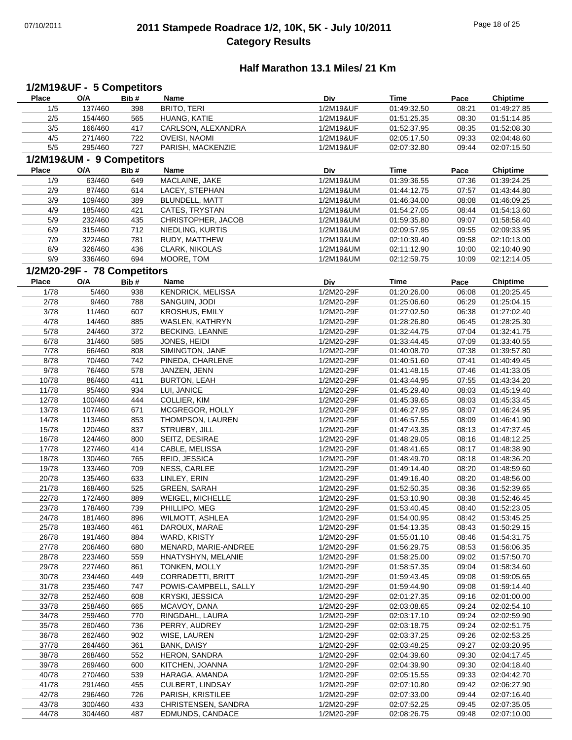## 07/10/2011 **2011 Stampede Roadrace 1/2, 10K, 5K - July 10/2011** Page 18 of 25 **Category Results**

#### **Half Marathon 13.1 Miles/ 21 Km**

#### **Place Name O/A Bib # Time Pace Chiptime 1/2M19&UF - 5 Competitors Div** 1/5 BRITO, TERI 137/460 398 1/2M19&UF 01:49:27.85 01:49:32.50 08:21 2/5 HUANG, KATIE 154/460 565 1/2M19&UF 01:51:14.85 01:51:25.35 08:30 3/5 CARLSON, ALEXANDRA 166/460 417 1/2M19&UF 01:52:08.30 01:52:37.95 08:35 4/5 271/460 722 OVEISI, NAOMI 21/2M19&UF 02:05:17.50 09:33 02:04:48.60 5/5 295/460 727 PARISH, MACKENZIE 21/2M19&UF 02:07:32.80 09:44 02:07:15.50 **Place Name O/A Bib # Time Pace Chiptime 1/2M19&UM - 9 Competitors Div** 1/9 MACLAINE, JAKE 63/460 649 1/2M19&UM 01:39:24.25 01:39:36.55 07:36 2/9 87/460 614 LACEY, STEPHAN 1/2M19&UM 01:44:12.75 07:57 01:43:44.80 3/9 BLUNDELL, MATT 109/460 389 1/2M19&UM 01:46:09.25 01:46:34.00 08:08 4/9 CATES, TRYSTAN 185/460 421 1/2M19&UM 01:54:13.60 01:54:27.05 08:44 5/9 CHRISTOPHER, JACOB 232/460 435 1/2M19&UM 01:58:58.40 01:59:35.80 09:07 6/9 315/460 712 NIEDLING, KURTIS 31/2M19&UM 02:09:57.95 09:55 02:09:33.95 7/9 RUDY, MATTHEW 322/460 781 1/2M19&UM 02:10:13.00 02:10:39.40 09:58 8/9 326/460 436 CLARK, NIKOLAS 1/2M19&UM 02:11:12.90 10:00 02:10:40.90 9/9 336/460 694 MOORE, TOM 1/2M19&UM 02:12:59.75 10:09 02:12:14.05 **Place Name O/A Bib # Time Pace Chiptime 1/2M20-29F - 78 Competitors Div** 1/78 5/460 938 KENDRICK, MELISSA 1/2M20-29F 01:20:26.00 06:08 01:20:25.45 2/78 SANGUIN, JODI 9/460 788 1/2M20-29F 01:25:04.15 01:25:06.60 06:29 3/78 11/460 607 KROSHUS, EMILY 1/2M20-29F 01:27:02.50 06:38 01:27:02.40 4/78 14/460 885 WASLEN, KATHRYN 1/2M20-29F 01:28:26.80 06:45 01:28:25.30 5/78 24/460 372 BECKING, LEANNE 1/2M20-29F 01:32:44.75 07:04 01:32:41.75 6/78 31/460 585 JONES, HEIDI 1/2M20-29F 01:33:44.45 07:09 01:33:40.55 7/78 SIMINGTON, JANE 66/460 808 1/2M20-29F 01:39:57.80 01:40:08.70 07:38 8/78 70/460 742 PINEDA, CHARLENE 1/2M20-29F 01:40:51.60 07:41 01:40:49.45 9/78 76/460 578 JANZEN, JENN 1/2M20-29F 01:41:48.15 07:46 01:41:33.05 10/78 86/460 411 BURTON, LEAH 86/460 411 BURTON, LEAH 86/460 414 BURTON, LEAH 86/460 414 BURTON, LEAH 11/78 LUI, JANICE 95/460 934 1/2M20-29F 01:45:19.40 01:45:29.40 08:03 12/78 100/460 444 COLLIER, KIM 1/2M20-29F 01:45:39.65 08:03 01:45:33.45 13/78 107/460 671 MCGREGOR, HOLLY 1/2M20-29F 01:46:27.95 08:07 01:46:24.95 14/78 THOMPSON, LAUREN 113/460 853 1/2M20-29F 01:46:41.90 01:46:57.55 08:09 15/78 120/460 837 STRUEBY, JILL 1/2M20-29F 01:47:43.35 08:13 01:47:37.45 16/78 124/460 800 SEITZ, DESIRAE 1/2M20-29F 01:48:29.05 08:16 01:48:12.25 17/78 CABLE, MELISSA 127/460 414 1/2M20-29F 01:48:38.90 01:48:41.65 08:17 18/78 130/460 765 REID, JESSICA 1/2M20-29F 01:48:49.70 08:18 01:48:36.20 19/78 133/460 709 NESS, CARLEE 136 1/2M20-29F 01:49:14.40 08:20 01:48:59.60 20/78 LINLEY, ERIN 135/460 633 1/2M20-29F 01:48:56.00 01:49:16.40 08:20 21/78 168/460 525 GREEN, SARAH 1/2M20-29F 01:52:50.35 08:36 01:52:39.65 22/78 172/460 889 WEIGEL, MICHELLE 1/2M20-29F 01:53:10.90 08:38 01:52:46.45 23/78 PHILLIPO, MEG 178/460 739 1/2M20-29F 01:52:23.05 01:53:40.45 08:40 24/78 181/460 896 WILMOTT, ASHLEA 1/2M20-29F 01:54:00.95 08:42 01:53:45.25 25/78 183/460 461 DAROUX, MARAE 1/2M20-29F 01:54:13.35 08:43 01:50:29.15 26/78 WARD, KRISTY 191/460 884 1/2M20-29F 01:54:31.75 01:55:01.10 08:46 27/78 206/460 680 MENARD, MARIE-ANDREE 21/2M20-29F 01:56:29.75 08:53 01:56:06.35 28/78 HNATYSHYN, MELANIE 223/460 559 1/2M20-29F 01:57:50.70 01:58:25.00 09:02 29/78 TONKEN, MOLLY 227/460 861 1/2M20-29F 01:58:34.60 01:58:57.35 09:04 30/78 234/460 449 CORRADETTI, BRITT 1/2M20-29F 01:59:43.45 09:08 01:59:05.65 31/78 235/460 747 POWIS-CAMPBELL, SALLY 21/2M20-29F 01:59:44.90 09:08 01:59:14.40 32/78 KRYSKI, JESSICA 252/460 608 1/2M20-29F 02:01:00.00 02:01:27.35 09:16 33/78 258/460 665 MCAVOY, DANA 268/2002/29F 02:03:08.65 09:24 02:02:54.10 34/78 259/460 770 RINGDAHL, LAURA 21/2M20-29F 02:03:17.10 09:24 02:02:59.90 35/78 PERRY, AUDREY 260/460 736 1/2M20-29F 02:02:51.75 02:03:18.75 09:24 36/78 WISE, LAUREN 262/460 902 1/2M20-29F 02:02:53.25 02:03:37.25 09:26 37/78 BANK, DAISY 264/460 361 1/2M20-29F 02:03:20.95 02:03:48.25 09:27 38/78 HERON, SANDRA 268/460 552 1/2M20-29F 02:04:17.45 02:04:39.60 09:30 39/78 269/460 600 KITCHEN, JOANNA 1/2M20-29F 02:04:39.90 09:30 02:04:18.40 40/78 HARAGA, AMANDA 270/460 539 1/2M20-29F 02:04:42.70 02:05:15.55 09:33 41/78 CULBERT, LINDSAY 291/460 455 1/2M20-29F 02:06:27.90 02:07:10.80 09:42 42/78 PARISH, KRISTILEE 296/460 726 1/2M20-29F 02:07:16.40 02:07:33.00 09:44 43/78 300/460 433 CHRISTENSEN, SANDRA 1/2M20-29F 02:07:52.25 09:45 02:07:35.05

44/78 EDMUNDS, CANDACE 304/460 487 1/2M20-29F 02:07:10.00 02:08:26.75 09:48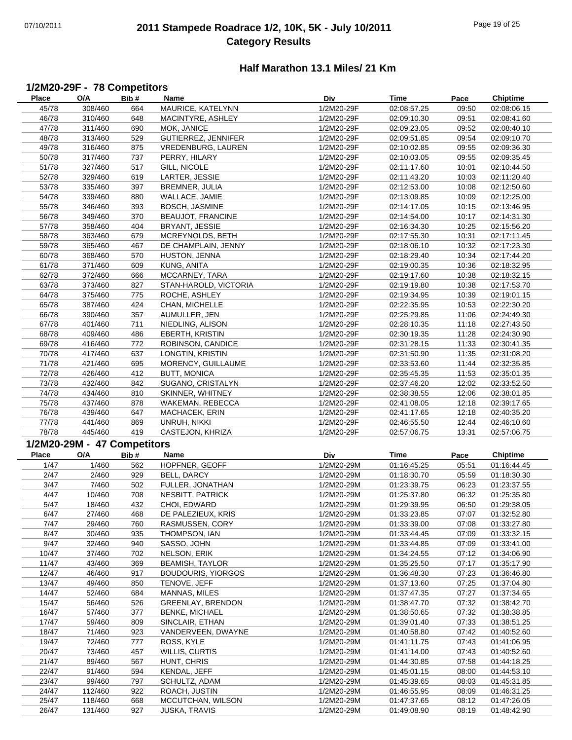## 07/10/2011 **2011 Stampede Roadrace 1/2, 10K, 5K - July 10/2011** Page 19 of 25 **Category Results**

#### **Half Marathon 13.1 Miles/ 21 Km**

## **1/2M20-29F - 78 Competitors**

| <b>Place</b> | O/A                         | Bib# | Name                      | Div        | Time                       | Pace  | <b>Chiptime</b> |
|--------------|-----------------------------|------|---------------------------|------------|----------------------------|-------|-----------------|
| 45/78        | 308/460                     | 664  | MAURICE, KATELYNN         | 1/2M20-29F | 02:08:57.25                | 09:50 | 02:08:06.15     |
| 46/78        | 310/460                     | 648  | MACINTYRE, ASHLEY         | 1/2M20-29F | 02:09:10.30                | 09:51 | 02:08:41.60     |
| 47/78        | 311/460                     | 690  | MOK, JANICE               | 1/2M20-29F | 02:09:23.05                | 09:52 | 02:08:40.10     |
| 48/78        | 313/460                     | 529  | GUTIERREZ, JENNIFER       | 1/2M20-29F | 02:09:51.85                | 09:54 | 02:09:10.70     |
| 49/78        | 316/460                     | 875  | VREDENBURG, LAUREN        | 1/2M20-29F | 02:10:02.85                | 09:55 | 02:09:36.30     |
| 50/78        | 317/460                     | 737  | PERRY, HILARY             | 1/2M20-29F | 02:10:03.05                | 09:55 | 02:09:35.45     |
| 51/78        | 327/460                     | 517  | GILL, NICOLE              | 1/2M20-29F | 02:11:17.60                | 10:01 | 02:10:44.50     |
| 52/78        | 329/460                     | 619  | LARTER, JESSIE            | 1/2M20-29F | 02:11:43.20                | 10:03 | 02:11:20.40     |
|              |                             |      | BREMNER, JULIA            | 1/2M20-29F |                            |       |                 |
| 53/78        | 335/460                     | 397  |                           |            | 02:12:53.00<br>02:13:09.85 | 10:08 | 02:12:50.60     |
| 54/78        | 339/460                     | 880  | WALLACE, JAMIE            | 1/2M20-29F |                            | 10:09 | 02:12:25.00     |
| 55/78        | 346/460                     | 393  | BOSCH, JASMINE            | 1/2M20-29F | 02:14:17.05                | 10:15 | 02:13:46.95     |
| 56/78        | 349/460                     | 370  | <b>BEAUJOT, FRANCINE</b>  | 1/2M20-29F | 02:14:54.00                | 10:17 | 02:14:31.30     |
| 57/78        | 358/460                     | 404  | <b>BRYANT, JESSIE</b>     | 1/2M20-29F | 02:16:34.30                | 10:25 | 02:15:56.20     |
| 58/78        | 363/460                     | 679  | MCREYNOLDS, BETH          | 1/2M20-29F | 02:17:55.30                | 10:31 | 02:17:11.45     |
| 59/78        | 365/460                     | 467  | DE CHAMPLAIN, JENNY       | 1/2M20-29F | 02:18:06.10                | 10:32 | 02:17:23.30     |
| 60/78        | 368/460                     | 570  | HUSTON, JENNA             | 1/2M20-29F | 02:18:29.40                | 10:34 | 02:17:44.20     |
| 61/78        | 371/460                     | 609  | KUNG, ANITA               | 1/2M20-29F | 02:19:00.35                | 10:36 | 02:18:32.95     |
| 62/78        | 372/460                     | 666  | MCCARNEY, TARA            | 1/2M20-29F | 02:19:17.60                | 10:38 | 02:18:32.15     |
| 63/78        | 373/460                     | 827  | STAN-HAROLD, VICTORIA     | 1/2M20-29F | 02:19:19.80                | 10:38 | 02:17:53.70     |
| 64/78        | 375/460                     | 775  | ROCHE, ASHLEY             | 1/2M20-29F | 02:19:34.95                | 10:39 | 02:19:01.15     |
| 65/78        | 387/460                     | 424  | CHAN, MICHELLE            | 1/2M20-29F | 02:22:35.95                | 10:53 | 02:22:30.20     |
| 66/78        | 390/460                     | 357  | AUMULLER, JEN             | 1/2M20-29F | 02:25:29.85                | 11:06 | 02:24:49.30     |
| 67/78        | 401/460                     | 711  | NIEDLING, ALISON          | 1/2M20-29F | 02:28:10.35                | 11:18 | 02:27:43.50     |
| 68/78        | 409/460                     | 486  | EBERTH, KRISTIN           | 1/2M20-29F | 02:30:19.35                | 11:28 | 02:24:30.90     |
| 69/78        | 416/460                     | 772  | ROBINSON, CANDICE         | 1/2M20-29F | 02:31:28.15                | 11:33 | 02:30:41.35     |
|              |                             |      | LONGTIN, KRISTIN          |            |                            |       |                 |
| 70/78        | 417/460                     | 637  |                           | 1/2M20-29F | 02:31:50.90                | 11:35 | 02:31:08.20     |
| 71/78        | 421/460                     | 695  | MORENCY, GUILLAUME        | 1/2M20-29F | 02:33:53.60                | 11:44 | 02:32:35.85     |
| 72/78        | 426/460                     | 412  | <b>BUTT, MONICA</b>       | 1/2M20-29F | 02:35:45.35                | 11:53 | 02:35:01.35     |
| 73/78        | 432/460                     | 842  | SUGANO, CRISTALYN         | 1/2M20-29F | 02:37:46.20                | 12:02 | 02:33:52.50     |
| 74/78        | 434/460                     | 810  | SKINNER, WHITNEY          | 1/2M20-29F | 02:38:38.55                | 12:06 | 02:38:01.85     |
| 75/78        | 437/460                     | 878  | WAKEMAN, REBECCA          | 1/2M20-29F | 02:41:08.05                | 12:18 | 02:39:17.65     |
| 76/78        | 439/460                     | 647  | <b>MACHACEK, ERIN</b>     | 1/2M20-29F | 02:41:17.65                | 12:18 | 02:40:35.20     |
| 77/78        | 441/460                     | 869  | UNRUH, NIKKI              | 1/2M20-29F | 02:46:55.50                | 12:44 | 02:46:10.60     |
| 78/78        | 445/460                     | 419  | CASTEJON, KHRIZA          | 1/2M20-29F | 02:57:06.75                | 13:31 | 02:57:06.75     |
|              | 1/2M20-29M - 47 Competitors |      |                           |            |                            |       |                 |
| <b>Place</b> | O/A                         | Bib# | Name                      | Div        | Time                       | Pace  | <b>Chiptime</b> |
| 1/47         | 1/460                       | 562  | HOPFNER, GEOFF            | 1/2M20-29M | 01:16:45.25                | 05:51 | 01:16:44.45     |
| 2/47         | 2/460                       |      | <b>BELL, DARCY</b>        |            |                            |       |                 |
|              |                             | 929  |                           | 1/2M20-29M | 01:18:30.70                | 05:59 | 01:18:30.30     |
| 3/47         | 7/460                       | 502  | FULLER, JONATHAN          | 1/2M20-29M | 01:23:39.75                | 06:23 | 01:23:37.55     |
| 4/47         | 10/460                      | 708  | NESBITT, PATRICK          | 1/2M20-29M | 01:25:37.80                | 06:32 | 01:25:35.80     |
| 5/47         | 18/460                      | 432  | CHOI, EDWARD              | 1/2M20-29M | 01:29:39.95                | 06:50 | 01:29:38.05     |
| 6/47         | 27/460                      | 468  | DE PALEZIEUX, KRIS        | 1/2M20-29M | 01:33:23.85                | 07:07 | 01:32:52.80     |
| 7/47         | 29/460                      | 760  | RASMUSSEN, CORY           | 1/2M20-29M | 01:33:39.00                | 07:08 | 01:33:27.80     |
| 8/47         | 30/460                      | 935  | THOMPSON, IAN             | 1/2M20-29M | 01:33:44.45                | 07:09 | 01:33:32.15     |
| 9/47         | 32/460                      | 940  | SASSO, JOHN               | 1/2M20-29M | 01:33:44.85                | 07:09 | 01:33:41.00     |
| 10/47        | 37/460                      | 702  | NELSON, ERIK              | 1/2M20-29M | 01:34:24.55                | 07:12 | 01:34:06.90     |
| 11/47        | 43/460                      | 369  | <b>BEAMISH, TAYLOR</b>    | 1/2M20-29M | 01:35:25.50                | 07:17 | 01:35:17.90     |
| 12/47        | 46/460                      | 917  | <b>BOUDOURIS, YIORGOS</b> | 1/2M20-29M | 01:36:48.30                | 07:23 | 01:36:46.80     |
| 13/47        | 49/460                      | 850  | TENOVE, JEFF              | 1/2M20-29M | 01:37:13.60                | 07:25 | 01:37:04.80     |
| 14/47        | 52/460                      | 684  | MANNAS, MILES             | 1/2M20-29M | 01:37:47.35                | 07:27 | 01:37:34.65     |
| 15/47        | 56/460                      | 526  | <b>GREENLAY, BRENDON</b>  | 1/2M20-29M | 01:38:47.70                | 07:32 | 01:38:42.70     |
| 16/47        | 57/460                      | 377  | <b>BENKE, MICHAEL</b>     | 1/2M20-29M | 01:38:50.65                | 07:32 | 01:38:38.85     |
| 17/47        | 59/460                      | 809  | SINCLAIR, ETHAN           | 1/2M20-29M | 01:39:01.40                | 07:33 | 01:38:51.25     |
| 18/47        | 71/460                      | 923  | VANDERVEEN, DWAYNE        | 1/2M20-29M | 01:40:58.80                | 07:42 | 01:40:52.60     |
|              |                             |      |                           |            |                            |       |                 |
| 19/47        | 72/460                      | 777  | ROSS, KYLE                | 1/2M20-29M | 01:41:11.75                | 07:43 | 01:41:06.95     |
| 20/47        | 73/460                      | 457  | WILLIS, CURTIS            | 1/2M20-29M | 01:41:14.00                | 07:43 | 01:40:52.60     |
| 21/47        | 89/460                      | 567  | HUNT, CHRIS               | 1/2M20-29M | 01:44:30.85                | 07:58 | 01:44:18.25     |
| 22/47        | 91/460                      | 594  | KENDAL, JEFF              | 1/2M20-29M | 01:45:01.15                | 08:00 | 01:44:53.10     |
| 23/47        | 99/460                      | 797  | SCHULTZ, ADAM             | 1/2M20-29M | 01:45:39.65                | 08:03 | 01:45:31.85     |
| 24/47        | 112/460                     | 922  | ROACH, JUSTIN             | 1/2M20-29M | 01:46:55.95                | 08:09 | 01:46:31.25     |
| 25/47        | 118/460                     | 668  | MCCUTCHAN, WILSON         | 1/2M20-29M | 01:47:37.65                | 08:12 | 01:47:26.05     |
| 26/47        | 131/460                     | 927  | <b>JUSKA, TRAVIS</b>      | 1/2M20-29M | 01:49:08.90                | 08:19 | 01:48:42.90     |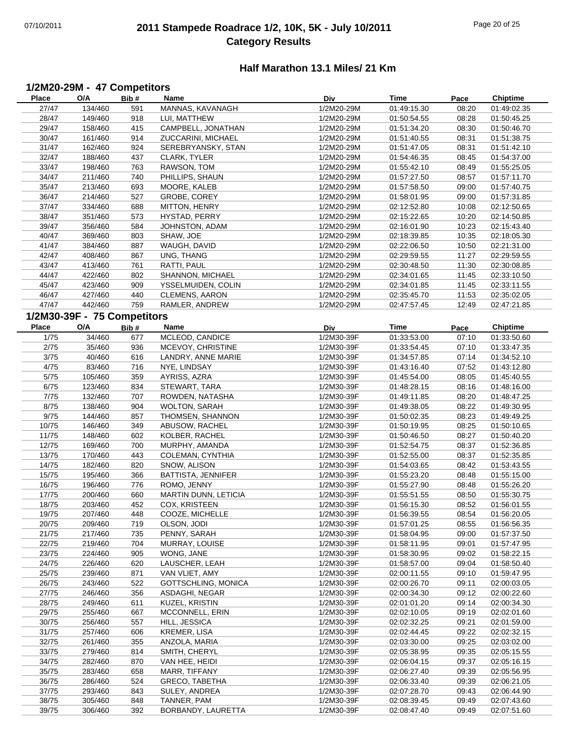## 07/10/2011 **2011 Stampede Roadrace 1/2, 10K, 5K - July 10/2011** Page 20 of 25 **Category Results**

#### **Half Marathon 13.1 Miles/ 21 Km**

#### **1/2M20-29M - 47 Competitors**

| <b>Place</b> | O/A                         | Bib# | Name                       | Div        | Time        | Pace  | Chiptime        |
|--------------|-----------------------------|------|----------------------------|------------|-------------|-------|-----------------|
| 27/47        | 134/460                     | 591  | MANNAS, KAVANAGH           | 1/2M20-29M | 01:49:15.30 | 08:20 | 01:49:02.35     |
| 28/47        | 149/460                     | 918  | LUI, MATTHEW               | 1/2M20-29M | 01:50:54.55 | 08:28 | 01:50:45.25     |
| 29/47        | 158/460                     | 415  | CAMPBELL, JONATHAN         | 1/2M20-29M | 01:51:34.20 | 08:30 | 01:50:46.70     |
| 30/47        | 161/460                     | 914  | ZUCCARINI, MICHAEL         | 1/2M20-29M | 01:51:40.55 | 08:31 | 01:51:38.75     |
| 31/47        | 162/460                     | 924  | SEREBRYANSKY, STAN         | 1/2M20-29M | 01:51:47.05 | 08:31 | 01:51:42.10     |
| 32/47        | 188/460                     | 437  | CLARK, TYLER               | 1/2M20-29M | 01:54:46.35 | 08:45 | 01:54:37.00     |
| 33/47        | 198/460                     | 763  | RAWSON, TOM                | 1/2M20-29M | 01:55:42.10 | 08:49 | 01:55:25.05     |
| 34/47        | 211/460                     | 740  | PHILLIPS, SHAUN            | 1/2M20-29M | 01:57:27.50 | 08:57 | 01:57:11.70     |
| 35/47        | 213/460                     | 693  | MOORE, KALEB               | 1/2M20-29M | 01:57:58.50 | 09:00 | 01:57:40.75     |
|              |                             |      |                            |            |             |       | 01:57:31.85     |
| 36/47        | 214/460                     | 527  | GROBE, COREY               | 1/2M20-29M | 01:58:01.95 | 09:00 |                 |
| 37/47        | 334/460                     | 688  | MITTON, HENRY              | 1/2M20-29M | 02:12:52.80 | 10:08 | 02:12:50.65     |
| 38/47        | 351/460                     | 573  | HYSTAD, PERRY              | 1/2M20-29M | 02:15:22.65 | 10:20 | 02:14:50.85     |
| 39/47        | 356/460                     | 584  | JOHNSTON, ADAM             | 1/2M20-29M | 02:16:01.90 | 10:23 | 02:15:43.40     |
| 40/47        | 369/460                     | 803  | SHAW, JOE                  | 1/2M20-29M | 02:18:39.85 | 10:35 | 02:18:05.30     |
| 41/47        | 384/460                     | 887  | WAUGH, DAVID               | 1/2M20-29M | 02:22:06.50 | 10:50 | 02:21:31.00     |
| 42/47        | 408/460                     | 867  | UNG, THANG                 | 1/2M20-29M | 02:29:59.55 | 11:27 | 02:29:59.55     |
| 43/47        | 413/460                     | 761  | RATTI, PAUL                | 1/2M20-29M | 02:30:48.50 | 11:30 | 02:30:08.85     |
| 44/47        | 422/460                     | 802  | SHANNON, MICHAEL           | 1/2M20-29M | 02:34:01.65 | 11:45 | 02:33:10.50     |
| 45/47        | 423/460                     | 909  | YSSELMUIDEN, COLIN         | 1/2M20-29M | 02:34:01.85 | 11:45 | 02:33:11.55     |
| 46/47        | 427/460                     | 440  | CLEMENS, AARON             | 1/2M20-29M | 02:35:45.70 | 11:53 | 02:35:02.05     |
| 47/47        | 442/460                     | 759  | RAMLER, ANDREW             | 1/2M20-29M | 02:47:57.45 | 12:49 | 02:47:21.85     |
|              |                             |      |                            |            |             |       |                 |
|              | 1/2M30-39F - 75 Competitors |      |                            |            |             |       |                 |
| <b>Place</b> | O/A                         | Bib# | Name                       | Div        | Time        | Pace  | <b>Chiptime</b> |
| 1/75         | 34/460                      | 677  | MCLEOD, CANDICE            | 1/2M30-39F | 01:33:53.00 | 07:10 | 01:33:50.60     |
| 2/75         | 35/460                      | 936  | MCEVOY, CHRISTINE          | 1/2M30-39F | 01:33:54.45 | 07:10 | 01:33:47.35     |
| 3/75         | 40/460                      | 616  | LANDRY, ANNE MARIE         | 1/2M30-39F | 01:34:57.85 | 07:14 | 01:34:52.10     |
| 4/75         | 83/460                      | 716  | NYE, LINDSAY               | 1/2M30-39F | 01:43:16.40 | 07:52 | 01:43:12.80     |
| 5/75         | 105/460                     | 359  | AYRISS, AZRA               | 1/2M30-39F | 01:45:54.00 | 08:05 | 01:45:40.55     |
| 6/75         | 123/460                     | 834  | STEWART, TARA              | 1/2M30-39F | 01:48:28.15 | 08:16 | 01:48:16.00     |
| 7/75         | 132/460                     | 707  | ROWDEN, NATASHA            | 1/2M30-39F | 01:49:11.85 | 08:20 | 01:48:47.25     |
| 8/75         | 138/460                     | 904  | <b>WOLTON, SARAH</b>       | 1/2M30-39F | 01:49:38.05 | 08:22 | 01:49:30.95     |
| 9/75         | 144/460                     | 857  | THOMSEN, SHANNON           | 1/2M30-39F | 01:50:02.35 | 08:23 | 01:49:49.25     |
| 10/75        | 146/460                     | 349  | ABUSOW, RACHEL             | 1/2M30-39F | 01:50:19.95 | 08:25 | 01:50:10.65     |
| 11/75        | 148/460                     | 602  | KOLBER, RACHEL             | 1/2M30-39F | 01:50:46.50 | 08:27 | 01:50:40.20     |
| 12/75        | 169/460                     | 700  | MURPHY, AMANDA             | 1/2M30-39F | 01:52:54.75 | 08:37 | 01:52:36.85     |
| 13/75        | 170/460                     | 443  |                            | 1/2M30-39F | 01:52:55.00 | 08:37 | 01:52:35.85     |
|              |                             |      | COLEMAN, CYNTHIA           | 1/2M30-39F | 01:54:03.65 |       |                 |
| 14/75        | 182/460                     | 820  | SNOW, ALISON               |            |             | 08:42 | 01:53:43.55     |
| 15/75        | 195/460                     | 366  | BATTISTA, JENNIFER         | 1/2M30-39F | 01:55:23.20 | 08:48 | 01:55:15.00     |
| 16/75        | 196/460                     | 776  | ROMO, JENNY                | 1/2M30-39F | 01:55:27.90 | 08:48 | 01:55:26.20     |
| 17/75        | 200/460                     | 660  | MARTIN DUNN, LETICIA       | 1/2M30-39F | 01:55:51.55 | 08:50 | 01:55:30.75     |
| 18/75        | 203/460                     | 452  | COX, KRISTEEN              | 1/2M30-39F | 01:56:15.30 | 08:52 | 01:56:01.55     |
| 19/75        | 207/460                     | 448  | COOZE, MICHELLE            | 1/2M30-39F | 01:56:39.55 | 08:54 | 01:56:20.05     |
| 20/75        | 209/460                     | 719  | OLSON, JODI                | 1/2M30-39F | 01:57:01.25 | 08:55 | 01:56:56.35     |
| 21/75        | 217/460                     | 735  | PENNY, SARAH               | 1/2M30-39F | 01:58:04.95 | 09:00 | 01:57:37.50     |
| 22/75        | 219/460                     | 704  | MURRAY, LOUISE             | 1/2M30-39F | 01:58:11.95 | 09:01 | 01:57:47.95     |
| 23/75        | 224/460                     | 905  | WONG, JANE                 | 1/2M30-39F | 01:58:30.95 | 09:02 | 01:58:22.15     |
| 24/75        | 226/460                     | 620  | LAUSCHER, LEAH             | 1/2M30-39F | 01:58:57.00 | 09:04 | 01:58:50.40     |
| 25/75        | 239/460                     | 871  | VAN VLIET, AMY             | 1/2M30-39F | 02:00:11.55 | 09:10 | 01:59:47.95     |
| 26/75        | 243/460                     | 522  | <b>GOTTSCHLING, MONICA</b> | 1/2M30-39F | 02:00:26.70 | 09:11 | 02:00:03.05     |
| 27/75        | 246/460                     | 356  | ASDAGHI, NEGAR             | 1/2M30-39F | 02:00:34.30 | 09:12 | 02:00:22.60     |
| 28/75        | 249/460                     | 611  | KUZEL, KRISTIN             | 1/2M30-39F | 02:01:01.20 | 09:14 | 02:00:34.30     |
| 29/75        | 255/460                     | 667  | MCCONNELL, ERIN            | 1/2M30-39F | 02:02:10.05 | 09:19 | 02:02:01.60     |
| 30/75        | 256/460                     | 557  | HILL, JESSICA              | 1/2M30-39F | 02:02:32.25 | 09:21 | 02:01:59.00     |
| 31/75        | 257/460                     | 606  | KREMER, LISA               | 1/2M30-39F | 02:02:44.45 | 09:22 | 02:02:32.15     |
| 32/75        | 261/460                     |      | ANZOLA, MARIA              | 1/2M30-39F | 02:03:30.00 | 09:25 | 02:03:02.00     |
|              |                             | 355  |                            |            |             |       |                 |
| 33/75        | 279/460                     | 814  | SMITH, CHERYL              | 1/2M30-39F | 02:05:38.95 | 09:35 | 02:05:15.55     |
| 34/75        | 282/460                     | 870  | VAN HEE, HEIDI             | 1/2M30-39F | 02:06:04.15 | 09:37 | 02:05:16.15     |
| 35/75        | 283/460                     | 658  | MARR, TIFFANY              | 1/2M30-39F | 02:06:27.40 | 09:39 | 02:05:56.95     |
| 36/75        | 286/460                     | 524  | <b>GRECO, TABETHA</b>      | 1/2M30-39F | 02:06:33.40 | 09:39 | 02:06:21.05     |
| 37/75        | 293/460                     | 843  | SULEY, ANDREA              | 1/2M30-39F | 02:07:28.70 | 09:43 | 02:06:44.90     |
| 38/75        | 305/460                     | 848  | TANNER, PAM                | 1/2M30-39F | 02:08:39.45 | 09:49 | 02:07:43.60     |
| 39/75        | 306/460                     | 392  | BORBANDY, LAURETTA         | 1/2M30-39F | 02:08:47.40 | 09:49 | 02:07:51.60     |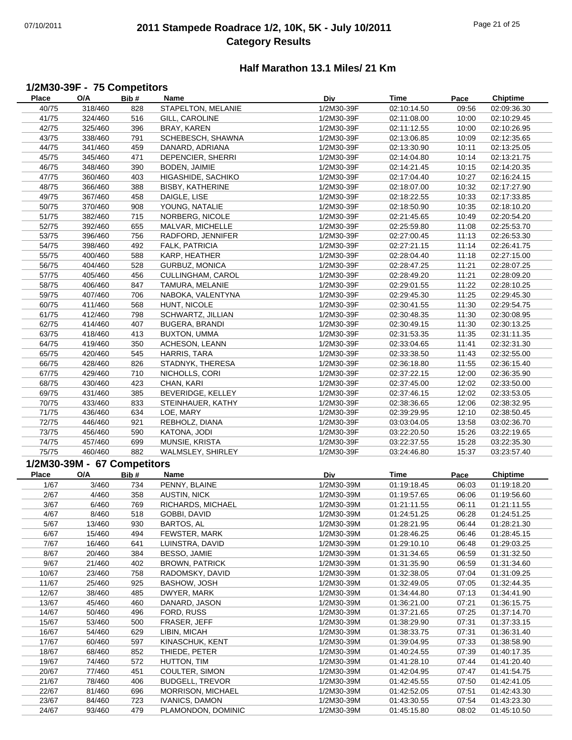## 07/10/2011 **2011 Stampede Roadrace 1/2, 10K, 5K - July 10/2011** Page 21 of 25 **Category Results**

#### **Half Marathon 13.1 Miles/ 21 Km**

## **1/2M30-39F - 75 Competitors**

| Place        | O/A                         | Bib# | Name                    | Div        | Time        | Pace  | <b>Chiptime</b> |
|--------------|-----------------------------|------|-------------------------|------------|-------------|-------|-----------------|
| 40/75        | 318/460                     | 828  | STAPELTON, MELANIE      | 1/2M30-39F | 02:10:14.50 | 09:56 | 02:09:36.30     |
| 41/75        | 324/460                     | 516  | GILL, CAROLINE          | 1/2M30-39F | 02:11:08.00 | 10:00 | 02:10:29.45     |
| 42/75        | 325/460                     | 396  | BRAY, KAREN             | 1/2M30-39F | 02:11:12.55 | 10:00 | 02:10:26.95     |
| 43/75        | 338/460                     | 791  | SCHEBESCH, SHAWNA       | 1/2M30-39F | 02:13:06.85 | 10:09 | 02:12:35.65     |
|              |                             |      | DANARD, ADRIANA         |            |             |       |                 |
| 44/75        | 341/460                     | 459  |                         | 1/2M30-39F | 02:13:30.90 | 10:11 | 02:13:25.05     |
| 45/75        | 345/460                     | 471  | DEPENCIER, SHERRI       | 1/2M30-39F | 02:14:04.80 | 10:14 | 02:13:21.75     |
| 46/75        | 348/460                     | 390  | BODEN, JAIMIE           | 1/2M30-39F | 02:14:21.45 | 10:15 | 02:14:20.35     |
| 47/75        | 360/460                     | 403  | HIGASHIDE, SACHIKO      | 1/2M30-39F | 02:17:04.40 | 10:27 | 02:16:24.15     |
| 48/75        | 366/460                     | 388  | <b>BISBY, KATHERINE</b> | 1/2M30-39F | 02:18:07.00 | 10:32 | 02:17:27.90     |
| 49/75        | 367/460                     | 458  | DAIGLE, LISE            | 1/2M30-39F | 02:18:22.55 | 10:33 | 02:17:33.85     |
| 50/75        | 370/460                     | 908  | YOUNG, NATALIE          | 1/2M30-39F | 02:18:50.90 | 10:35 | 02:18:10.20     |
| 51/75        | 382/460                     | 715  | NORBERG, NICOLE         | 1/2M30-39F | 02:21:45.65 | 10:49 | 02:20:54.20     |
| 52/75        | 392/460                     | 655  | MALVAR, MICHELLE        | 1/2M30-39F | 02:25:59.80 | 11:08 | 02:25:53.70     |
| 53/75        | 396/460                     | 756  | RADFORD, JENNIFER       | 1/2M30-39F | 02:27:00.45 | 11:13 | 02:26:53.30     |
| 54/75        | 398/460                     | 492  | FALK, PATRICIA          | 1/2M30-39F | 02:27:21.15 | 11:14 | 02:26:41.75     |
| 55/75        | 400/460                     | 588  | KARP, HEATHER           | 1/2M30-39F | 02:28:04.40 | 11:18 | 02:27:15.00     |
|              |                             |      |                         |            |             |       |                 |
| 56/75        | 404/460                     | 528  | GURBUZ, MONICA          | 1/2M30-39F | 02:28:47.25 | 11:21 | 02:28:07.25     |
| 57/75        | 405/460                     | 456  | CULLINGHAM, CAROL       | 1/2M30-39F | 02:28:49.20 | 11:21 | 02:28:09.20     |
| 58/75        | 406/460                     | 847  | TAMURA, MELANIE         | 1/2M30-39F | 02:29:01.55 | 11:22 | 02:28:10.25     |
| 59/75        | 407/460                     | 706  | NABOKA, VALENTYNA       | 1/2M30-39F | 02:29:45.30 | 11:25 | 02:29:45.30     |
| 60/75        | 411/460                     | 568  | HUNT, NICOLE            | 1/2M30-39F | 02:30:41.55 | 11:30 | 02:29:54.75     |
| 61/75        | 412/460                     | 798  | SCHWARTZ, JILLIAN       | 1/2M30-39F | 02:30:48.35 | 11:30 | 02:30:08.95     |
| 62/75        | 414/460                     | 407  | <b>BUGERA, BRANDI</b>   | 1/2M30-39F | 02:30:49.15 | 11:30 | 02:30:13.25     |
| 63/75        | 418/460                     | 413  | <b>BUXTON, UMMA</b>     | 1/2M30-39F | 02:31:53.35 | 11:35 | 02:31:11.35     |
| 64/75        | 419/460                     | 350  | ACHESON, LEANN          | 1/2M30-39F | 02:33:04.65 | 11:41 | 02:32:31.30     |
| 65/75        | 420/460                     | 545  | HARRIS, TARA            | 1/2M30-39F | 02:33:38.50 | 11:43 | 02:32:55.00     |
| 66/75        | 428/460                     | 826  | STADNYK, THERESA        | 1/2M30-39F | 02:36:18.80 | 11:55 | 02:36:15.40     |
| 67/75        | 429/460                     | 710  | NICHOLLS, CORI          | 1/2M30-39F | 02:37:22.15 | 12:00 | 02:36:35.90     |
| 68/75        | 430/460                     | 423  | CHAN, KARI              | 1/2M30-39F | 02:37:45.00 | 12:02 | 02:33:50.00     |
| 69/75        | 431/460                     | 385  | BEVERIDGE, KELLEY       | 1/2M30-39F | 02:37:46.15 | 12:02 | 02:33:53.05     |
| 70/75        | 433/460                     | 833  | STEINHAUER, KATHY       | 1/2M30-39F | 02:38:36.65 | 12:06 | 02:38:32.95     |
| 71/75        | 436/460                     | 634  | LOE, MARY               | 1/2M30-39F | 02:39:29.95 | 12:10 | 02:38:50.45     |
| 72/75        | 446/460                     | 921  | REBHOLZ, DIANA          | 1/2M30-39F | 03:03:04.05 | 13:58 | 03:02:36.70     |
| 73/75        | 456/460                     | 590  | KATONA, JODI            | 1/2M30-39F | 03:22:20.50 | 15:26 | 03:22:19.65     |
|              |                             |      |                         |            |             |       |                 |
| 74/75        | 457/460                     | 699  | MUNSIE, KRISTA          | 1/2M30-39F | 03:22:37.55 | 15:28 | 03:22:35.30     |
| 75/75        | 460/460                     | 882  | WALMSLEY, SHIRLEY       | 1/2M30-39F | 03:24:46.80 | 15:37 | 03:23:57.40     |
|              | 1/2M30-39M - 67 Competitors |      |                         |            |             |       |                 |
| <b>Place</b> | O/A                         | Bib# | Name                    | Div        | Time        | Pace  | <b>Chiptime</b> |
| 1/67         | 3/460                       | 734  | PENNY, BLAINE           | 1/2M30-39M | 01:19:18.45 | 06:03 | 01:19:18.20     |
| 2/67         | 4/460                       | 358  | AUSTIN, NICK            | 1/2M30-39M | 01:19:57.65 | 06:06 | 01:19:56.60     |
| 3/67         | 6/460                       | 769  | RICHARDS, MICHAEL       | 1/2M30-39M | 01:21:11.55 | 06:11 | 01:21:11.55     |
| 4/67         | 8/460                       | 518  | GOBBI, DAVID            | 1/2M30-39M | 01:24:51.25 | 06:28 | 01:24:51.25     |
| 5/67         | 13/460                      | 930  | BARTOS, AL              | 1/2M30-39M | 01:28:21.95 | 06:44 | 01:28:21.30     |
| 6/67         | 15/460                      | 494  | FEWSTER, MARK           | 1/2M30-39M | 01:28:46.25 | 06:46 | 01:28:45.15     |
| 7/67         | 16/460                      | 641  | LUINSTRA, DAVID         | 1/2M30-39M | 01:29:10.10 | 06:48 | 01:29:03.25     |
| 8/67         | 20/460                      | 384  | BESSO, JAMIE            | 1/2M30-39M | 01:31:34.65 | 06:59 | 01:31:32.50     |
| 9/67         | 21/460                      | 402  | <b>BROWN, PATRICK</b>   | 1/2M30-39M | 01:31:35.90 | 06:59 | 01:31:34.60     |
| 10/67        | 23/460                      | 758  | RADOMSKY, DAVID         | 1/2M30-39M | 01:32:38.05 | 07:04 | 01:31:09.25     |
| 11/67        | 25/460                      | 925  | BASHOW, JOSH            | 1/2M30-39M | 01:32:49.05 | 07:05 | 01:32:44.35     |
|              |                             |      |                         |            |             |       |                 |
| 12/67        | 38/460                      | 485  | DWYER, MARK             | 1/2M30-39M | 01:34:44.80 | 07:13 | 01:34:41.90     |
| 13/67        | 45/460                      | 460  | DANARD, JASON           | 1/2M30-39M | 01:36:21.00 | 07:21 | 01:36:15.75     |
| 14/67        | 50/460                      | 496  | FORD, RUSS              | 1/2M30-39M | 01:37:21.65 | 07:25 | 01:37:14.70     |
| 15/67        | 53/460                      | 500  | FRASER, JEFF            | 1/2M30-39M | 01:38:29.90 | 07:31 | 01:37:33.15     |
| 16/67        | 54/460                      | 629  | LIBIN, MICAH            | 1/2M30-39M | 01:38:33.75 | 07:31 | 01:36:31.40     |
| 17/67        | 60/460                      | 597  | KINASCHUK, KENT         | 1/2M30-39M | 01:39:04.95 | 07:33 | 01:38:58.90     |
| 18/67        | 68/460                      | 852  | THIEDE, PETER           | 1/2M30-39M | 01:40:24.55 | 07:39 | 01:40:17.35     |
| 19/67        | 74/460                      | 572  | HUTTON, TIM             | 1/2M30-39M | 01:41:28.10 | 07:44 | 01:41:20.40     |
| 20/67        | 77/460                      | 451  | COULTER, SIMON          | 1/2M30-39M | 01:42:04.95 | 07:47 | 01:41:54.75     |
| 21/67        | 78/460                      | 406  | <b>BUDGELL, TREVOR</b>  | 1/2M30-39M | 01:42:45.55 | 07:50 | 01:42:41.05     |
| 22/67        | 81/460                      | 696  | MORRISON, MICHAEL       | 1/2M30-39M | 01:42:52.05 | 07:51 | 01:42:43.30     |
| 23/67        | 84/460                      | 723  | <b>IVANICS, DAMON</b>   | 1/2M30-39M | 01:43:30.55 | 07:54 | 01:43:23.30     |
| 24/67        | 93/460                      | 479  | PLAMONDON, DOMINIC      | 1/2M30-39M | 01:45:15.80 | 08:02 | 01:45:10.50     |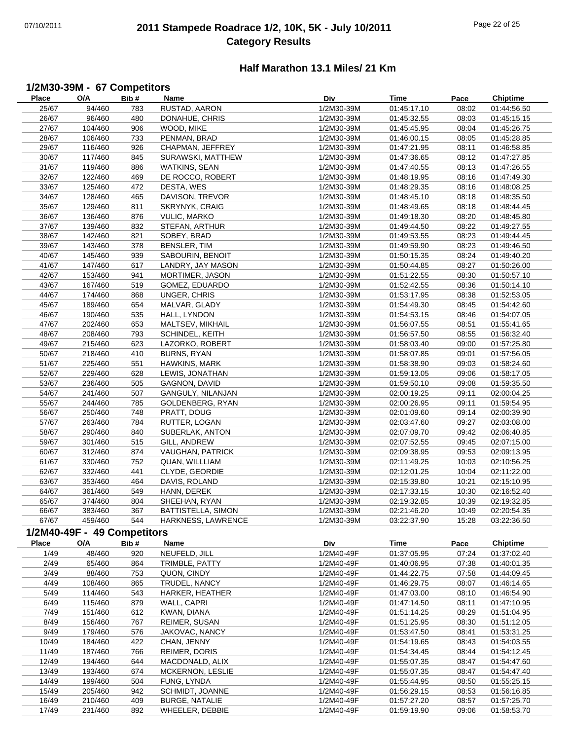## 07/10/2011 **2011 Stampede Roadrace 1/2, 10K, 5K - July 10/2011** Page 22 of 25 **Category Results**

#### **Half Marathon 13.1 Miles/ 21 Km**

# **1/2M30-39M - 67 Competitors**

| <b>Place</b> | O/A                         | Bib# | Name                    | Div                      | Time        | Pace  | <b>Chiptime</b> |
|--------------|-----------------------------|------|-------------------------|--------------------------|-------------|-------|-----------------|
| 25/67        | 94/460                      | 783  | RUSTAD, AARON           | 1/2M30-39M               | 01:45:17.10 | 08:02 | 01:44:56.50     |
| 26/67        | 96/460                      | 480  | DONAHUE, CHRIS          | 1/2M30-39M               | 01:45:32.55 | 08:03 | 01:45:15.15     |
| 27/67        | 104/460                     | 906  | WOOD, MIKE              | 1/2M30-39M               | 01:45:45.95 | 08:04 | 01:45:26.75     |
| 28/67        | 106/460                     | 733  | PENMAN, BRAD            | 1/2M30-39M               | 01:46:00.15 | 08:05 | 01:45:28.85     |
| 29/67        | 116/460                     | 926  | CHAPMAN, JEFFREY        | 1/2M30-39M               | 01:47:21.95 | 08:11 | 01:46:58.85     |
| 30/67        | 117/460                     | 845  | SURAWSKI, MATTHEW       | 1/2M30-39M               | 01:47:36.65 | 08:12 | 01:47:27.85     |
| 31/67        | 119/460                     | 886  | WATKINS, SEAN           | 1/2M30-39M               | 01:47:40.55 | 08:13 | 01:47:26.55     |
| 32/67        | 122/460                     | 469  | DE ROCCO, ROBERT        | 1/2M30-39M               | 01:48:19.95 | 08:16 | 01:47:49.30     |
| 33/67        | 125/460                     | 472  | DESTA, WES              | 1/2M30-39M               | 01:48:29.35 | 08:16 | 01:48:08.25     |
| 34/67        | 128/460                     | 465  | DAVISON, TREVOR         | 1/2M30-39M               | 01:48:45.10 | 08:18 | 01:48:35.50     |
| 35/67        | 129/460                     | 811  | SKRYNYK, CRAIG          | 1/2M30-39M               | 01:48:49.65 | 08:18 | 01:48:44.45     |
|              |                             |      |                         |                          |             |       |                 |
| 36/67        | 136/460<br>139/460          | 876  | <b>VULIC, MARKO</b>     | 1/2M30-39M               | 01:49:18.30 | 08:20 | 01:48:45.80     |
| 37/67        |                             | 832  | STEFAN, ARTHUR          | 1/2M30-39M               | 01:49:44.50 | 08:22 | 01:49:27.55     |
| 38/67        | 142/460                     | 821  | SOBEY, BRAD             | 1/2M30-39M               | 01:49:53.55 | 08:23 | 01:49:44.45     |
| 39/67        | 143/460                     | 378  | BENSLER, TIM            | 1/2M30-39M               | 01:49:59.90 | 08:23 | 01:49:46.50     |
| 40/67        | 145/460                     | 939  | SABOURIN, BENOIT        | 1/2M30-39M               | 01:50:15.35 | 08:24 | 01:49:40.20     |
| 41/67        | 147/460                     | 617  | LANDRY, JAY MASON       | 1/2M30-39M               | 01:50:44.85 | 08:27 | 01:50:26.00     |
| 42/67        | 153/460                     | 941  | MORTIMER, JASON         | 1/2M30-39M               | 01:51:22.55 | 08:30 | 01:50:57.10     |
| 43/67        | 167/460                     | 519  | GOMEZ, EDUARDO          | 1/2M30-39M               | 01:52:42.55 | 08:36 | 01:50:14.10     |
| 44/67        | 174/460                     | 868  | UNGER, CHRIS            | 1/2M30-39M               | 01:53:17.95 | 08:38 | 01:52:53.05     |
| 45/67        | 189/460                     | 654  | MALVAR, GLADY           | 1/2M30-39M               | 01:54:49.30 | 08:45 | 01:54:42.60     |
| 46/67        | 190/460                     | 535  | HALL, LYNDON            | 1/2M30-39M               | 01:54:53.15 | 08:46 | 01:54:07.05     |
| 47/67        | 202/460                     | 653  | MALTSEV, MIKHAIL        | 1/2M30-39M               | 01:56:07.55 | 08:51 | 01:55:41.65     |
| 48/67        | 208/460                     | 793  | SCHINDEL, KEITH         | 1/2M30-39M               | 01:56:57.50 | 08:55 | 01:56:32.40     |
| 49/67        | 215/460                     | 623  | LAZORKO, ROBERT         | 1/2M30-39M               | 01:58:03.40 | 09:00 | 01:57:25.80     |
| 50/67        | 218/460                     | 410  | <b>BURNS, RYAN</b>      | 1/2M30-39M               | 01:58:07.85 | 09:01 | 01:57:56.05     |
| 51/67        | 225/460                     | 551  | HAWKINS, MARK           | 1/2M30-39M               | 01:58:38.90 | 09:03 | 01:58:24.60     |
| 52/67        | 229/460                     | 628  | LEWIS, JONATHAN         | 1/2M30-39M               | 01:59:13.05 | 09:06 | 01:58:17.05     |
| 53/67        | 236/460                     | 505  | GAGNON, DAVID           | 1/2M30-39M               | 01:59:50.10 | 09:08 | 01:59:35.50     |
| 54/67        | 241/460                     | 507  | GANGULY, NILANJAN       | 1/2M30-39M               | 02:00:19.25 | 09:11 | 02:00:04.25     |
| 55/67        | 244/460                     | 785  | GOLDENBERG, RYAN        | 1/2M30-39M               | 02:00:26.95 | 09:11 | 01:59:54.95     |
| 56/67        | 250/460                     | 748  | PRATT, DOUG             | 1/2M30-39M               | 02:01:09.60 | 09:14 | 02:00:39.90     |
| 57/67        | 263/460                     | 784  | RUTTER, LOGAN           | 1/2M30-39M               | 02:03:47.60 | 09:27 | 02:03:08.00     |
| 58/67        | 290/460                     | 840  | SUBERLAK, ANTON         | 1/2M30-39M               | 02:07:09.70 | 09:42 | 02:06:40.85     |
| 59/67        | 301/460                     | 515  | GILL, ANDREW            | 1/2M30-39M               | 02:07:52.55 | 09:45 | 02:07:15.00     |
| 60/67        | 312/460                     | 874  | <b>VAUGHAN, PATRICK</b> | 1/2M30-39M               | 02:09:38.95 | 09:53 | 02:09:13.95     |
| 61/67        | 330/460                     | 752  | QUAN, WILLLIAM          | 1/2M30-39M               | 02:11:49.25 | 10:03 | 02:10:56.25     |
| 62/67        | 332/460                     | 441  | CLYDE, GEORDIE          | 1/2M30-39M               | 02:12:01.25 | 10:04 | 02:11:22.00     |
| 63/67        | 353/460                     | 464  | DAVIS, ROLAND           | 1/2M30-39M               | 02:15:39.80 | 10:21 | 02:15:10.95     |
|              | 361/460                     |      | HANN, DEREK             |                          |             |       |                 |
| 64/67        |                             | 549  |                         | 1/2M30-39M<br>1/2M30-39M | 02:17:33.15 | 10:30 | 02:16:52.40     |
| 65/67        | 374/460                     | 804  | SHEEHAN, RYAN           |                          | 02:19:32.85 | 10:39 | 02:19:32.85     |
| 66/67        | 383/460                     | 367  | BATTISTELLA, SIMON      | 1/2M30-39M               | 02:21:46.20 | 10:49 | 02:20:54.35     |
| 67/67        | 459/460                     | 544  | HARKNESS, LAWRENCE      | 1/2M30-39M               | 03:22:37.90 | 15:28 | 03:22:36.50     |
|              | 1/2M40-49F - 49 Competitors |      |                         |                          |             |       |                 |
| Place        | O/A                         | Bib# | Name                    | Div                      | Time        | Pace  | <b>Chiptime</b> |
| 1/49         | 48/460                      | 920  | NEUFELD, JILL           | 1/2M40-49F               | 01:37:05.95 | 07:24 | 01:37:02.40     |
| 2/49         | 65/460                      | 864  | TRIMBLE, PATTY          | 1/2M40-49F               | 01:40:06.95 | 07:38 | 01:40:01.35     |
| 3/49         | 88/460                      | 753  | QUON, CINDY             | 1/2M40-49F               | 01:44:22.75 | 07:58 | 01:44:09.45     |
| 4/49         | 108/460                     | 865  | TRUDEL, NANCY           | 1/2M40-49F               | 01:46:29.75 | 08:07 | 01:46:14.65     |
| 5/49         | 114/460                     | 543  | HARKER, HEATHER         | 1/2M40-49F               | 01:47:03.00 | 08:10 | 01:46:54.90     |
| 6/49         | 115/460                     | 879  | WALL, CAPRI             | 1/2M40-49F               | 01:47:14.50 | 08:11 | 01:47:10.95     |
| 7/49         | 151/460                     | 612  | KWAN, DIANA             | 1/2M40-49F               | 01:51:14.25 | 08:29 | 01:51:04.95     |
| 8/49         | 156/460                     | 767  | REIMER, SUSAN           | 1/2M40-49F               | 01:51:25.95 | 08:30 | 01:51:12.05     |
| 9/49         | 179/460                     | 576  | JAKOVAC, NANCY          | 1/2M40-49F               | 01:53:47.50 | 08:41 | 01:53:31.25     |
| 10/49        | 184/460                     | 422  | CHAN, JENNY             | 1/2M40-49F               | 01:54:19.65 | 08:43 | 01:54:03.55     |
| 11/49        | 187/460                     | 766  | REIMER, DORIS           | 1/2M40-49F               | 01:54:34.45 | 08:44 | 01:54:12.45     |
| 12/49        | 194/460                     | 644  | MACDONALD, ALIX         | 1/2M40-49F               | 01:55:07.35 | 08:47 | 01:54:47.60     |
| 13/49        | 193/460                     | 674  | MCKERNON, LESLIE        | 1/2M40-49F               | 01:55:07.35 | 08:47 | 01:54:47.40     |
| 14/49        | 199/460                     | 504  | FUNG, LYNDA             | 1/2M40-49F               | 01:55:44.95 | 08:50 | 01:55:25.15     |
| 15/49        | 205/460                     | 942  | SCHMIDT, JOANNE         | 1/2M40-49F               | 01:56:29.15 | 08:53 | 01:56:16.85     |
| 16/49        | 210/460                     | 409  | BURGE, NATALIE          | 1/2M40-49F               | 01:57:27.20 | 08:57 | 01:57:25.70     |
| 17/49        | 231/460                     | 892  | WHEELER, DEBBIE         | 1/2M40-49F               | 01:59:19.90 | 09:06 | 01:58:53.70     |
|              |                             |      |                         |                          |             |       |                 |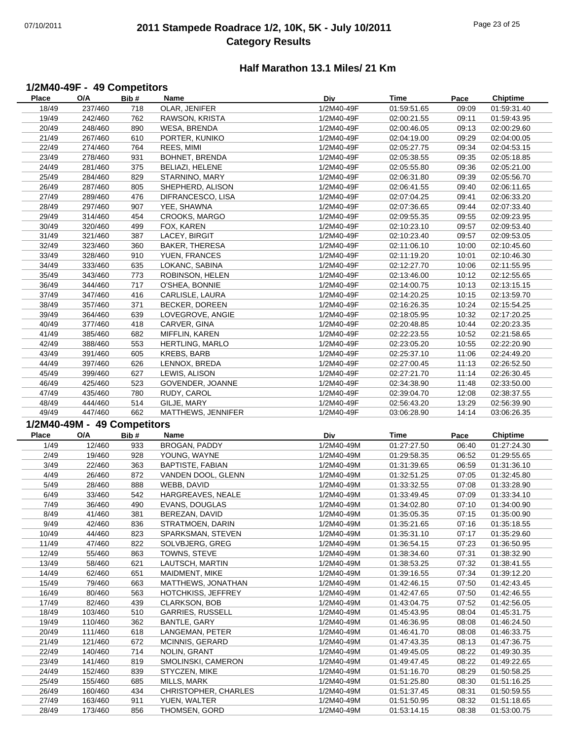## 07/10/2011 **2011 Stampede Roadrace 1/2, 10K, 5K - July 10/2011** Page 23 of 25 **Category Results**

#### **Half Marathon 13.1 Miles/ 21 Km**

## **1/2M40-49F - 49 Competitors**

| Place | O/A                         | Bib# | Name                          | Div        | Time        | Pace  | <b>Chiptime</b>            |
|-------|-----------------------------|------|-------------------------------|------------|-------------|-------|----------------------------|
| 18/49 | 237/460                     | 718  | OLAR, JENIFER                 | 1/2M40-49F | 01:59:51.65 | 09:09 | 01:59:31.40                |
| 19/49 | 242/460                     | 762  | RAWSON, KRISTA                | 1/2M40-49F | 02:00:21.55 | 09:11 | 01:59:43.95                |
| 20/49 | 248/460                     | 890  | WESA, BRENDA                  | 1/2M40-49F | 02:00:46.05 | 09:13 | 02:00:29.60                |
| 21/49 | 267/460                     | 610  | PORTER, KUNIKO                | 1/2M40-49F | 02:04:19.00 | 09:29 | 02:04:00.05                |
|       | 274/460                     |      |                               |            |             | 09:34 |                            |
| 22/49 |                             | 764  | REES, MIMI                    | 1/2M40-49F | 02:05:27.75 |       | 02:04:53.15                |
| 23/49 | 278/460                     | 931  | BOHNET, BRENDA                | 1/2M40-49F | 02:05:38.55 | 09:35 | 02:05:18.85                |
| 24/49 | 281/460                     | 375  | BELIAZI, HELENE               | 1/2M40-49F | 02:05:55.80 | 09:36 | 02:05:21.00                |
| 25/49 | 284/460                     | 829  | STARNINO, MARY                | 1/2M40-49F | 02:06:31.80 | 09:39 | 02:05:56.70                |
| 26/49 | 287/460                     | 805  | SHEPHERD, ALISON              | 1/2M40-49F | 02:06:41.55 | 09:40 | 02:06:11.65                |
| 27/49 | 289/460                     | 476  | DIFRANCESCO, LISA             | 1/2M40-49F | 02:07:04.25 | 09:41 | 02:06:33.20                |
| 28/49 | 297/460                     | 907  | YEE, SHAWNA                   | 1/2M40-49F | 02:07:36.65 | 09:44 | 02:07:33.40                |
| 29/49 | 314/460                     | 454  | CROOKS, MARGO                 | 1/2M40-49F | 02:09:55.35 | 09:55 | 02:09:23.95                |
| 30/49 | 320/460                     | 499  | FOX, KAREN                    | 1/2M40-49F | 02:10:23.10 | 09:57 | 02:09:53.40                |
| 31/49 | 321/460                     | 387  | LACEY, BIRGIT                 | 1/2M40-49F | 02:10:23.40 | 09:57 | 02:09:53.05                |
| 32/49 | 323/460                     | 360  | BAKER, THERESA                | 1/2M40-49F | 02:11:06.10 | 10:00 | 02:10:45.60                |
| 33/49 | 328/460                     | 910  | YUEN, FRANCES                 | 1/2M40-49F | 02:11:19.20 | 10:01 | 02:10:46.30                |
|       |                             |      |                               |            |             |       |                            |
| 34/49 | 333/460                     | 635  | LOKANC, SABINA                | 1/2M40-49F | 02:12:27.70 | 10:06 | 02:11:55.95                |
| 35/49 | 343/460                     | 773  | ROBINSON, HELEN               | 1/2M40-49F | 02:13:46.00 | 10:12 | 02:12:55.65                |
| 36/49 | 344/460                     | 717  | O'SHEA, BONNIE                | 1/2M40-49F | 02:14:00.75 | 10:13 | 02:13:15.15                |
| 37/49 | 347/460                     | 416  | CARLISLE, LAURA               | 1/2M40-49F | 02:14:20.25 | 10:15 | 02:13:59.70                |
| 38/49 | 357/460                     | 371  | BECKER, DOREEN                | 1/2M40-49F | 02:16:26.35 | 10:24 | 02:15:54.25                |
| 39/49 | 364/460                     | 639  | LOVEGROVE, ANGIE              | 1/2M40-49F | 02:18:05.95 | 10:32 | 02:17:20.25                |
| 40/49 | 377/460                     | 418  | CARVER, GINA                  | 1/2M40-49F | 02:20:48.85 | 10:44 | 02:20:23.35                |
| 41/49 | 385/460                     | 682  | MIFFLIN, KAREN                | 1/2M40-49F | 02:22:23.55 | 10:52 | 02:21:58.65                |
| 42/49 | 388/460                     | 553  | HERTLING, MARLO               | 1/2M40-49F | 02:23:05.20 | 10:55 | 02:22:20.90                |
| 43/49 | 391/460                     | 605  | KREBS, BARB                   | 1/2M40-49F | 02:25:37.10 | 11:06 | 02:24:49.20                |
| 44/49 | 397/460                     | 626  | LENNOX, BREDA                 | 1/2M40-49F | 02:27:00.45 | 11:13 | 02:26:52.50                |
| 45/49 | 399/460                     | 627  | LEWIS, ALISON                 | 1/2M40-49F | 02:27:21.70 | 11:14 | 02:26:30.45                |
| 46/49 | 425/460                     | 523  | GOVENDER, JOANNE              | 1/2M40-49F | 02:34:38.90 | 11:48 | 02:33:50.00                |
| 47/49 | 435/460                     | 780  | RUDY, CAROL                   | 1/2M40-49F | 02:39:04.70 | 12:08 | 02:38:37.55                |
| 48/49 | 444/460                     | 514  | GILJE, MARY                   | 1/2M40-49F | 02:56:43.20 | 13:29 | 02:56:39.90                |
| 49/49 | 447/460                     | 662  | MATTHEWS, JENNIFER            | 1/2M40-49F | 03:06:28.90 | 14:14 | 03:06:26.35                |
|       |                             |      |                               |            |             |       |                            |
|       |                             |      |                               |            |             |       |                            |
|       | 1/2M40-49M - 49 Competitors |      |                               |            |             |       |                            |
| Place | O/A                         | Bib# | Name                          | <b>Div</b> | Time        | Pace  | Chiptime                   |
| 1/49  | 12/460                      | 933  | BROGAN, PADDY                 | 1/2M40-49M | 01:27:27.50 | 06:40 | 01:27:24.30                |
| 2/49  | 19/460                      | 928  | YOUNG, WAYNE                  | 1/2M40-49M | 01:29:58.35 | 06:52 | 01:29:55.65                |
| 3/49  | 22/460                      | 363  | <b>BAPTISTE, FABIAN</b>       | 1/2M40-49M | 01:31:39.65 | 06:59 | 01:31:36.10                |
| 4/49  | 26/460                      | 872  | VANDEN DOOL, GLENN            | 1/2M40-49M | 01:32:51.25 | 07:05 | 01:32:45.80                |
| 5/49  | 28/460                      | 888  | WEBB, DAVID                   | 1/2M40-49M | 01:33:32.55 | 07:08 | 01:33:28.90                |
| 6/49  | 33/460                      | 542  |                               | 1/2M40-49M | 01:33:49.45 | 07:09 |                            |
|       |                             |      | HARGREAVES, NEALE             |            |             |       | 01:33:34.10<br>01:34:00.90 |
| 7/49  | 36/460                      | 490  | EVANS, DOUGLAS                | 1/2M40-49M | 01:34:02.80 | 07:10 |                            |
| 8/49  | 41/460                      | 381  | BEREZAN, DAVID                | 1/2M40-49M | 01:35:05.35 | 07:15 | 01:35:00.90                |
| 9/49  | 42/460                      | 836  | STRATMOEN, DARIN              | 1/2M40-49M | 01:35:21.65 | 07:16 | 01:35:18.55                |
| 10/49 | 44/460                      | 823  | SPARKSMAN, STEVEN             | 1/2M40-49M | 01:35:31.10 | 07:17 | 01:35:29.60                |
| 11/49 | 47/460                      | 822  | SOLVBJERG, GREG               | 1/2M40-49M | 01:36:54.15 | 07:23 | 01:36:50.95                |
| 12/49 | 55/460                      | 863  | TOWNS, STEVE                  | 1/2M40-49M | 01:38:34.60 | 07:31 | 01:38:32.90                |
| 13/49 | 58/460                      | 621  | LAUTSCH, MARTIN               | 1/2M40-49M | 01:38:53.25 | 07:32 | 01:38:41.55                |
| 14/49 | 62/460                      | 651  | MAIDMENT, MIKE                | 1/2M40-49M | 01:39:16.55 | 07:34 | 01:39:12.20                |
| 15/49 | 79/460                      | 663  | MATTHEWS, JONATHAN            | 1/2M40-49M | 01:42:46.15 | 07:50 | 01:42:43.45                |
| 16/49 | 80/460                      | 563  | HOTCHKISS, JEFFREY            | 1/2M40-49M | 01:42:47.65 | 07:50 | 01:42:46.55                |
| 17/49 | 82/460                      | 439  | <b>CLARKSON, BOB</b>          | 1/2M40-49M | 01:43:04.75 | 07:52 | 01:42:56.05                |
| 18/49 | 103/460                     | 510  | <b>GARRIES, RUSSELL</b>       | 1/2M40-49M | 01:45:43.95 | 08:04 | 01:45:31.75                |
| 19/49 | 110/460                     | 362  | BANTLE, GARY                  | 1/2M40-49M | 01:46:36.95 | 08:08 | 01:46:24.50                |
| 20/49 | 111/460                     | 618  | LANGEMAN, PETER               | 1/2M40-49M | 01:46:41.70 | 08:08 | 01:46:33.75                |
| 21/49 | 121/460                     | 672  | <b>MCINNIS, GERARD</b>        | 1/2M40-49M | 01:47:43.35 | 08:13 | 01:47:36.75                |
| 22/49 | 140/460                     | 714  | NOLIN, GRANT                  | 1/2M40-49M | 01:49:45.05 | 08:22 | 01:49:30.35                |
| 23/49 | 141/460                     | 819  | SMOLINSKI, CAMERON            | 1/2M40-49M | 01:49:47.45 | 08:22 | 01:49:22.65                |
| 24/49 | 152/460                     | 839  | STYCZEN, MIKE                 | 1/2M40-49M | 01:51:16.70 | 08:29 | 01:50:58.25                |
| 25/49 | 155/460                     | 685  | MILLS, MARK                   | 1/2M40-49M | 01:51:25.80 | 08:30 | 01:51:16.25                |
| 26/49 | 160/460                     | 434  | CHRISTOPHER, CHARLES          | 1/2M40-49M | 01:51:37.45 | 08:31 | 01:50:59.55                |
| 27/49 | 163/460                     | 911  |                               | 1/2M40-49M | 01:51:50.95 | 08:32 | 01:51:18.65                |
| 28/49 | 173/460                     | 856  | YUEN, WALTER<br>THOMSEN, GORD | 1/2M40-49M | 01:53:14.15 | 08:38 | 01:53:00.75                |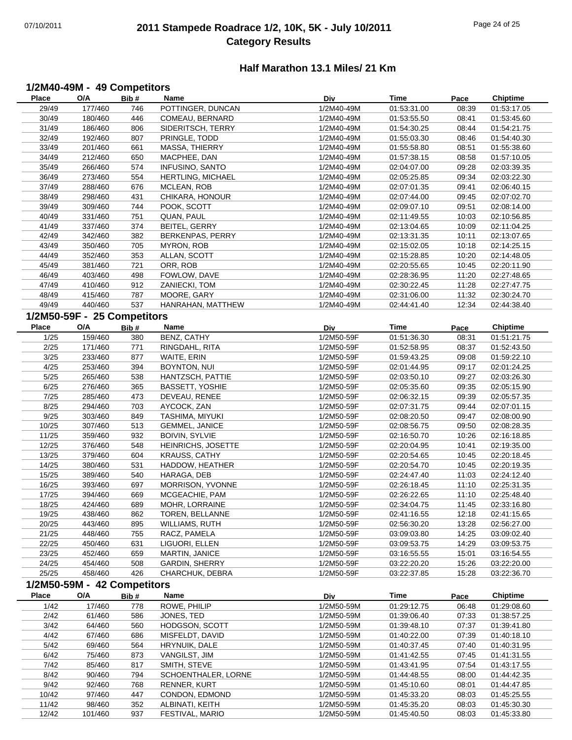## 07/10/2011 **2011 Stampede Roadrace 1/2, 10K, 5K - July 10/2011** Page 24 of 25 **Category Results**

#### **Half Marathon 13.1 Miles/ 21 Km**

#### **1/2M40-49M - 49 Competitors**

| <b>Place</b> | O/A                         | Bib#  | Name                    | Div        | Time                       | Pace  | <b>Chiptime</b>            |
|--------------|-----------------------------|-------|-------------------------|------------|----------------------------|-------|----------------------------|
| 29/49        | 177/460                     | 746   | POTTINGER, DUNCAN       | 1/2M40-49M | 01:53:31.00                | 08:39 | 01:53:17.05                |
| 30/49        | 180/460                     | 446   | COMEAU, BERNARD         | 1/2M40-49M | 01:53:55.50                | 08:41 | 01:53:45.60                |
| 31/49        | 186/460                     | 806   | SIDERITSCH, TERRY       | 1/2M40-49M | 01:54:30.25                | 08:44 | 01:54:21.75                |
| 32/49        | 192/460                     | 807   | PRINGLE, TODD           | 1/2M40-49M | 01:55:03.30                | 08:46 | 01:54:40.30                |
| 33/49        | 201/460                     | 661   | MASSA, THIERRY          | 1/2M40-49M | 01:55:58.80                | 08:51 | 01:55:38.60                |
| 34/49        | 212/460                     | 650   | MACPHEE, DAN            | 1/2M40-49M | 01:57:38.15                | 08:58 | 01:57:10.05                |
| 35/49        | 266/460                     | 574   | INFUSINO, SANTO         | 1/2M40-49M | 02:04:07.00                | 09:28 | 02:03:39.35                |
| 36/49        | 273/460                     | 554   | HERTLING, MICHAEL       | 1/2M40-49M | 02:05:25.85                | 09:34 | 02:03:22.30                |
| 37/49        | 288/460                     | 676   | MCLEAN, ROB             | 1/2M40-49M | 02:07:01.35                | 09:41 | 02:06:40.15                |
| 38/49        | 298/460                     | 431   | CHIKARA, HONOUR         | 1/2M40-49M | 02:07:44.00                | 09:45 | 02:07:02.70                |
| 39/49        | 309/460                     | 744   | POOK, SCOTT             | 1/2M40-49M | 02:09:07.10                | 09:51 | 02:08:14.00                |
| 40/49        | 331/460                     | 751   | QUAN, PAUL              | 1/2M40-49M | 02:11:49.55                | 10:03 | 02:10:56.85                |
| 41/49        | 337/460                     | 374   | BEITEL, GERRY           | 1/2M40-49M | 02:13:04.65                | 10:09 | 02:11:04.25                |
| 42/49        | 342/460                     | 382   | <b>BERKENPAS, PERRY</b> | 1/2M40-49M | 02:13:31.35                | 10:11 | 02:13:07.65                |
| 43/49        | 350/460                     | 705   | MYRON, ROB              | 1/2M40-49M | 02:15:02.05                | 10:18 | 02:14:25.15                |
| 44/49        | 352/460                     | 353   | ALLAN, SCOTT            | 1/2M40-49M | 02:15:28.85                | 10:20 | 02:14:48.05                |
| 45/49        | 381/460                     | 721   | ORR, ROB                | 1/2M40-49M | 02:20:55.65                | 10:45 | 02:20:11.90                |
| 46/49        | 403/460                     | 498   | FOWLOW, DAVE            | 1/2M40-49M | 02:28:36.95                | 11:20 | 02:27:48.65                |
| 47/49        | 410/460                     | 912   | ZANIECKI, TOM           | 1/2M40-49M | 02:30:22.45                | 11:28 | 02:27:47.75                |
| 48/49        | 415/460                     | 787   | MOORE, GARY             | 1/2M40-49M | 02:31:06.00                | 11:32 | 02:30:24.70                |
| 49/49        | 440/460                     | 537   | HANRAHAN, MATTHEW       | 1/2M40-49M | 02:44:41.40                | 12:34 | 02:44:38.40                |
|              | 1/2M50-59F - 25 Competitors |       |                         |            |                            |       |                            |
| <b>Place</b> | O/A                         | Bib#  | <b>Name</b>             | Div        | <b>Time</b>                | Pace  | <b>Chiptime</b>            |
| 1/25         | 159/460                     | 380   | BENZ, CATHY             | 1/2M50-59F | 01:51:36.30                | 08:31 | 01:51:21.75                |
| 2/25         | 171/460                     | 771   | RINGDAHL, RITA          | 1/2M50-59F | 01:52:58.95                | 08:37 | 01:52:43.50                |
| 3/25         | 233/460                     | 877   | WAITE, ERIN             | 1/2M50-59F | 01:59:43.25                | 09:08 | 01:59:22.10                |
| 4/25         | 253/460                     | 394   | BOYNTON, NUI            | 1/2M50-59F | 02:01:44.95                | 09:17 | 02:01:24.25                |
| 5/25         | 265/460                     | 538   | HANTZSCH, PATTIE        | 1/2M50-59F | 02:03:50.10                | 09:27 | 02:03:26.30                |
| 6/25         | 276/460                     | 365   | <b>BASSETT, YOSHIE</b>  | 1/2M50-59F | 02:05:35.60                | 09:35 | 02:05:15.90                |
| 7/25         | 285/460                     | 473   | DEVEAU, RENEE           | 1/2M50-59F | 02:06:32.15                | 09:39 | 02:05:57.35                |
| 8/25         | 294/460                     | 703   | AYCOCK, ZAN             | 1/2M50-59F | 02:07:31.75                | 09:44 | 02:07:01.15                |
| 9/25         | 303/460                     | 849   | TASHIMA, MIYUKI         | 1/2M50-59F | 02:08:20.50                | 09:47 | 02:08:00.90                |
| 10/25        | 307/460                     | 513   | <b>GEMMEL, JANICE</b>   | 1/2M50-59F | 02:08:56.75                | 09:50 | 02:08:28.35                |
| 11/25        | 359/460                     | 932   | <b>BOIVIN, SYLVIE</b>   | 1/2M50-59F | 02:16:50.70                | 10:26 | 02:16:18.85                |
| 12/25        | 376/460                     | 548   | HEINRICHS, JOSETTE      | 1/2M50-59F | 02:20:04.95                | 10:41 | 02:19:35.00                |
| 13/25        | 379/460                     | 604   | <b>KRAUSS, CATHY</b>    | 1/2M50-59F | 02:20:54.65                | 10:45 | 02:20:18.45                |
| 14/25        | 380/460                     | 531   | HADDOW, HEATHER         | 1/2M50-59F | 02:20:54.70                | 10:45 | 02:20:19.35                |
| 15/25        | 389/460                     | 540   | HARAGA, DEB             | 1/2M50-59F | 02:24:47.40                | 11:03 | 02:24:12.40                |
| 16/25        | 393/460                     | 697   | MORRISON, YVONNE        | 1/2M50-59F | 02:26:18.45                | 11:10 | 02:25:31.35                |
| 17/25        | 394/460                     | 669   | MCGEACHIE, PAM          | 1/2M50-59F | 02:26:22.65                | 11:10 | 02:25:48.40                |
| 18/25        | 424/460                     | 689   | MOHR, LORRAINE          | 1/2M50-59F | 02:34:04.75                | 11:45 | 02:33:16.80                |
| 19/25        | 438/460                     | 862   | TOREN, BELLANNE         | 1/2M50-59F | 02:41:16.55                | 12:18 | 02:41:15.65                |
| 20/25        | 443/460                     | 895   | WILLIAMS, RUTH          | 1/2M50-59F | 02:56:30.20                | 13:28 | 02:56:27.00                |
| 21/25        | 448/460                     | 755   | RACZ, PAMELA            | 1/2M50-59F | 03:09:03.80                | 14:25 | 03:09:02.40                |
| 22/25        | 450/460                     | 631   | LIGUORI, ELLEN          | 1/2M50-59F | 03:09:53.75                | 14:29 | 03:09:53.75                |
| 23/25        | 452/460                     | 659   | MARTIN, JANICE          | 1/2M50-59F | 03:16:55.55                | 15:01 | 03:16:54.55                |
| 24/25        | 454/460                     | 508   | <b>GARDIN, SHERRY</b>   | 1/2M50-59F | 03:22:20.20                | 15:26 | 03:22:20.00                |
| 25/25        | 458/460                     | 426   | CHARCHUK, DEBRA         | 1/2M50-59F | 03:22:37.85                | 15:28 | 03:22:36.70                |
|              | 1/2M50-59M - 42 Competitors |       |                         |            |                            |       |                            |
| <b>Place</b> | O/A                         | Bib # | Name                    | Div        | <b>Time</b>                | Pace  | <b>Chiptime</b>            |
| 1/42         | 17/460                      | 778   | ROWE, PHILIP            | 1/2M50-59M | 01:29:12.75                | 06:48 | 01:29:08.60                |
| 2/42         | 61/460                      | 586   | JONES, TED              | 1/2M50-59M | 01:39:06.40                | 07:33 | 01:38:57.25                |
| 3/42         | 64/460                      | 560   | HODGSON, SCOTT          | 1/2M50-59M | 01:39:48.10                | 07:37 | 01:39:41.80                |
| 4/42         | 67/460                      | 686   | MISFELDT, DAVID         | 1/2M50-59M | 01:40:22.00                | 07:39 | 01:40:18.10                |
| 5/42         | 69/460                      | 564   | HRYNUIK, DALE           | 1/2M50-59M | 01:40:37.45                | 07:40 | 01:40:31.95                |
| 6/42         | 75/460                      | 873   | VANGILST, JIM           | 1/2M50-59M |                            | 07:45 |                            |
| 7/42         | 85/460                      | 817   | SMITH, STEVE            | 1/2M50-59M | 01:41:42.55<br>01:43:41.95 | 07:54 | 01:41:31.55<br>01:43:17.55 |
| 8/42         | 90/460                      | 794   | SCHOENTHALER, LORNE     | 1/2M50-59M | 01:44:48.55                | 08:00 | 01:44:42.35                |
| 9/42         | 92/460                      | 768   | RENNER, KURT            | 1/2M50-59M | 01:45:10.60                | 08:01 | 01:44:47.85                |
| 10/42        | 97/460                      | 447   | CONDON, EDMOND          | 1/2M50-59M | 01:45:33.20                | 08:03 | 01:45:25.55                |
| 11/42        | 98/460                      | 352   | ALBINATI, KEITH         | 1/2M50-59M | 01:45:35.20                | 08:03 | 01:45:30.30                |
| 12/42        | 101/460                     | 937   | FESTIVAL, MARIO         | 1/2M50-59M | 01:45:40.50                | 08:03 | 01:45:33.80                |
|              |                             |       |                         |            |                            |       |                            |